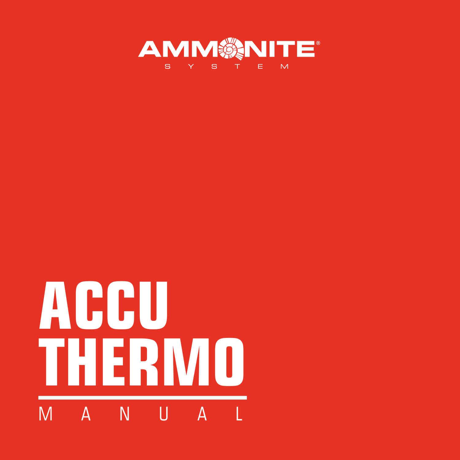

# **ACCU THERMO** M A N U A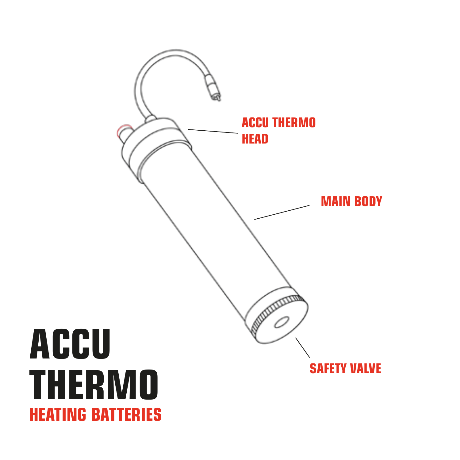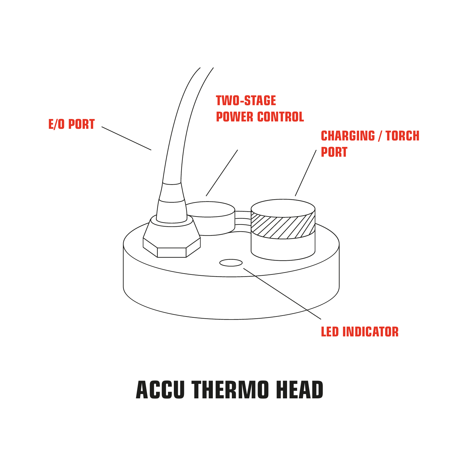

# **ACCU THERMO HEAD**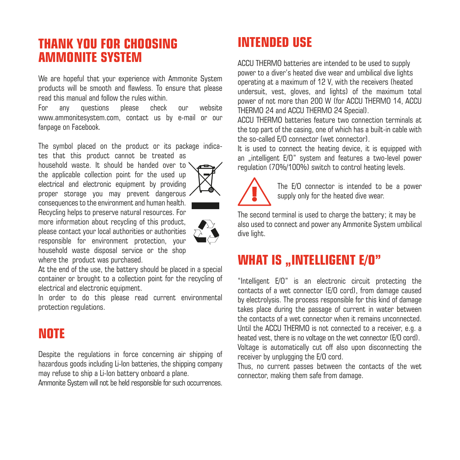#### **THANK YOU FOR CHOOSING AMMONITE SYSTEM**

We are hopeful that your experience with Ammonite System products will be smooth and flawless. To ensure that please read this manual and follow the rules within.

For any questions please check our website www.ammonitesystem.com, contact us by e-mail or our fannage on Facebook

The symbol placed on the product or its package indicates that this product cannot be treated as

household waste. It should be handed over to ' the applicable collection point for the used up electrical and electronic equipment by providing proper storage you may prevent dangerous consequences to the environment and human health. Recycling helps to preserve natural resources. For more information about recycling of this product, please contact your local authorities or authorities responsible for environment protection, your household waste disposal service or the shop where the product was purchased.

At the end of the use, the battery should be placed in a special container or brought to a collection point for the recycling of electrical and electronic equipment.

In order to do this please read current environmental protection regulations.

#### **NOTE**

Despite the regulations in force concerning air shipping of hazardous goods including Li-Ion batteries, the shipping company may refuse to ship a Li-Ion battery onboard a plane.

Ammonite System will not be held responsible for such occurrences.

#### **INTENDED USE**

ACCU THERMO batteries are intended to be used to supply power to a diver's heated dive wear and umbilical dive lights operating at a maximum of 12 V, with the receivers (heated undersuit, vest, gloves, and lights) of the maximum total power of not more than 200 W (for ACCU THERMO 14, ACCU THERMO 24 and ACCU THERMO 24 Special).

ACCU THERMO batteries feature two connection terminals at the top part of the casing, one of which has a built-in cable with the so-called E/O connector (wet connector).

It is used to connect the heating device, it is equipped with an .intelligent E/O" system and features a two-level power regulation (70%/100%) switch to control heating levels.



The E/O connector is intended to be a power supply only for the heated dive wear.

The second terminal is used to charge the battery; it may be also used to connect and power any Ammonite System umbilical dive light.

#### **WHAT IS ..INTELLIGENT E/O"**

"Intelligent E/O" is an electronic circuit protecting the contacts of a wet connector (E/O cord), from damage caused by electrolysis. The process responsible for this kind of damage takes place during the passage of current in water between the contacts of a wet connector when it remains unconnected. Until the ACCU THERMO is not connected to a receiver, e.g. a heated vest, there is no voltage on the wet connector (E/O cord). Voltage is automatically cut off also upon disconnecting the receiver by unplugging the E/O cord.

Thus, no current passes between the contacts of the wet connector, making them safe from damage.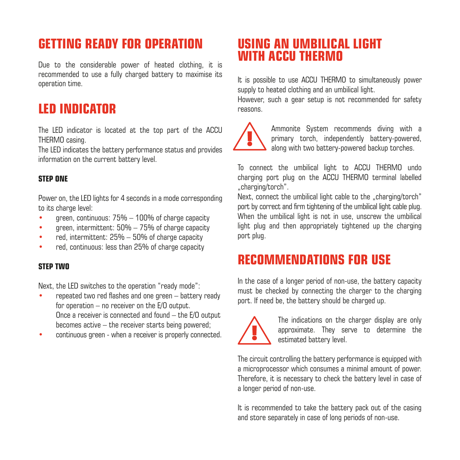#### **GETTING READY FOR OPERATION**

Due to the considerable power of heated clothing, it is recommended to use a fully charged battery to maximise its operation time.

#### **LED INDICATOR**

The LED indicator is located at the top part of the ACCU THERMO casing.

The LED indicates the battery performance status and provides information on the current battery level.

#### **STEP ONE**

Power on, the LED lights for 4 seconds in a mode corresponding to its charge level:

- green, continuous: 75% 100% of charge capacity
- green, intermittent: 50% 75% of charge capacity
- red, intermittent: 25% 50% of charge capacity
- red, continuous; less than 25% of charge capacity

#### **STEP TWO**

Next, the LED switches to the operation "ready mode":

- repeated two red flashes and one green battery ready for operation – no receiver on the E/O output. Once a receiver is connected and found – the E/O output becomes active  $-$  the receiver starts being powered;
- continuous green when a receiver is properly connected.

#### **USING AN UMBILICAL LIGHT WITH ACCU THERMO**

It is possible to use ACCU THERMO to simultaneously power supply to heated clothing and an umbilical light.

However, such a gear setup is not recommended for safety reasons.

Ammonite System recommends diving with a primary torch, independently battery-powered along with two battery-powered backup torches.

To connect the umbilical light to ACCU THERMO undo charging port plug on the ACCU THERMO terminal labelled ..charging/torch".

Next, connect the umbilical light cable to the "charging/torch" port by correct and firm tightening of the umbilical light cable plug. When the umbilical light is not in use, unscrew the umbilical light plug and then appropriately tightened up the charging port plug.

#### **RECOMMENDATIONS FOR USE**

In the case of a longer period of non-use, the battery capacity must be checked by connecting the charger to the charging port. If need be, the battery should be charged up.



The indications on the charger display are only approximate. They serve to determine the estimated battery level.

The circuit controlling the battery performance is equipped with a microprocessor which consumes a minimal amount of power. Therefore, it is necessary to check the battery level in case of a longer period of non-use.

It is recommended to take the battery pack out of the casing and store separately in case of long periods of non-use.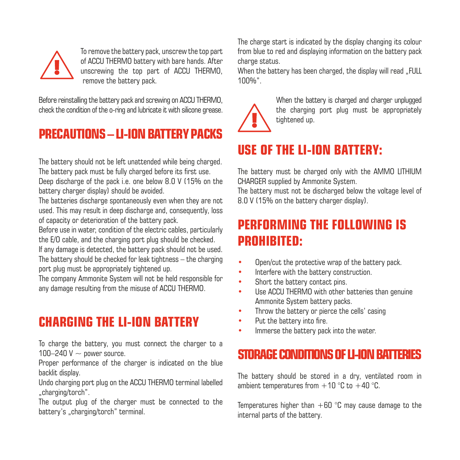

To remove the battery pack, unscrew the top part of ACCU THERMO battery with bare hands. After unscrewing the top part of ACCU THERMO, remove the battery nack.

Before reinstalling the battery pack and screwing on ACCU THERMO, checkthe condition of the o-ring and lubricate it with silicone grease.

#### **PRECAUTIONS – IL-ION RATTERY PACKS**

The battery should not be left unattended while being charged. The battery pack must be fully charged before its first use.

Deep discharge of the pack i.e. one below 8.0 V (15% on the battery charger display) should be avoided.

The batteries discharge spontaneously even when they are not used. This may result in deep discharge and, consequently, loss of capacity or deterioration of the battery pack.

Before use in water, condition of the electric cables, particularly the E/O cable, and the charging port plug should be checked.

If any damage is detected, the battery pack should not be used. The battery should be checked for leak tightness – the charging port plug must be appropriately tightened up.

The company Ammonite System will not be held responsible for any damage resulting from the misuse of ACCU THERMO.

### **CHARGING THE LI-ION BATTERY**

To charge the battery, you must connect the charger to a 100–240 V  $\sim$  nower source.

Proper performance of the charger is indicated on the blue backlit display.

Undo charging port plug on the ACCU THERMO terminal labelled .charging/torch".

The output plug of the charger must be connected to the battery's ..charging/torch" terminal.

The charge start is indicated by the display changing its colour from blue to red and displaying information on the battery pack charge status.

When the battery has been charged, the display will read "FULL 100%".



When the battery is charged and charger unplugged the charging port plug must be appropriately tightened up.

## **USE OF THE LI-ION BATTERY:**

The battery must be charged only with the AMMO LITHIUM CHARGER supplied by Ammonite System.

The battery must not be discharged below the voltage level of 8.0 V (15% on the battery charger display).

#### **PERFORMING THE FOLLOWING IS PROHIBITED:**

- Open/cut the protective wrap of the battery pack.
- Interfere with the battery construction.
- Short the battery contact pins.
- Use ACCU THERMO with other batteries than genuine Ammonite System battery packs.
- Throw the battery or pierce the cells' casing
- Put the battery into fire.
- Immerse the battery pack into the water.

#### STORAGE CONDITIONS OF **U-ION BATTERIES**

The battery should be stored in a dry, ventilated room in ambient temperatures from  $+10$  °C to  $+40$  °C.

Temperatures higher than  $+60$  °C may cause damage to the internal parts of the battery.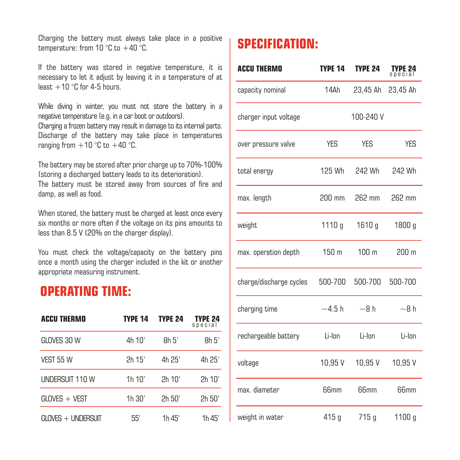Charging the battery must always take place in a positive temperature: from  $10^{\circ}$ C to  $+40^{\circ}$ C.

If the battery was stored in negative temperature, it is necessary to let it adjust by leaving it in a temperature of at  $l$ east  $+10$  °C for 4-5 hours.

While diving in winter, you must not store the battery in a negative temperature (e.g. in a car boot or outdoors).

Charging a frozen battery mayresult in damage to itsinternal parts. Discharge of the battery may take place in temperatures ranging from  $+10$  °C to  $+40$  °C.

The battery may be stored after prior charge up to 70%-100% (storing a discharged battery leads to its deterioration).

The battery must be stored away from sources of fire and damp, as well as food.

When stored, the battery must be charged at least once every six months or more often if the voltage on its pins amounts to less than 8.5 V (20% on the charger display).

You must check the voltage/capacity on the battery pins once a month using the charger included in the kit or another appropriate measuring instrument.

#### **OPERATING TIME:**

| <b>ACCU THERMO</b>   | <b>TYPE 14</b> | <b>TYPE 24</b> | <b>TYPE 24</b><br>special |
|----------------------|----------------|----------------|---------------------------|
| GLOVES 30 W          | 4h 10'         | 8h.5'          | 8h.5'                     |
| VEST 55 W            | 2h 15'         | 4h 25'         | 4h 25'                    |
| UNDERSUIT 110 W      | 1h 10'         | 2h 10'         | 2h 10'                    |
| $GLOVES + VEST$      | 1h 30'         | 2h 50'         | 2h 50'                    |
| $GLOVFS + UNDERSUIT$ | 55'            | 1h 45'         | 1h 45'                    |

#### **SPECIFICATION:**

| <b>ACCU THERMO</b>      | <b>TYPE 14</b>   | <b>TYPE 24</b> | TYPE 24          |
|-------------------------|------------------|----------------|------------------|
| capacity nominal        | 14Ah             | 23,45 Ah       | 23.45 Ah         |
| charger input voltage   |                  | 100-240 V      |                  |
| over pressure valve     | YES              | <b>YES</b>     | <b>YES</b>       |
| total energy            | 125 Wh           | 242 Wh         | 242 Wh           |
| max. length             | 200 mm           | 262 mm         | 262 mm           |
| weight                  | 1110q            | 1610q          | 1800 g           |
| max. operation depth    | 150 <sub>m</sub> | 100 m          | 200 <sub>m</sub> |
| charge/discharge cycles | 500-700          | 500-700        | 500-700          |
| charging time           | $-4.5h$          | $-8h$          | $-8h$            |
| rechargeable battery    | Li-Ion           | Li-Ion         | Li-Ion           |
| voltage                 | 10,95 V          | 10,95 V        | 10,95 V          |
| max. diameter           | 66mm             | 66mm           | 66 <sub>mm</sub> |
| weight in water         | 415 g            | 715 g          | 1100 g           |